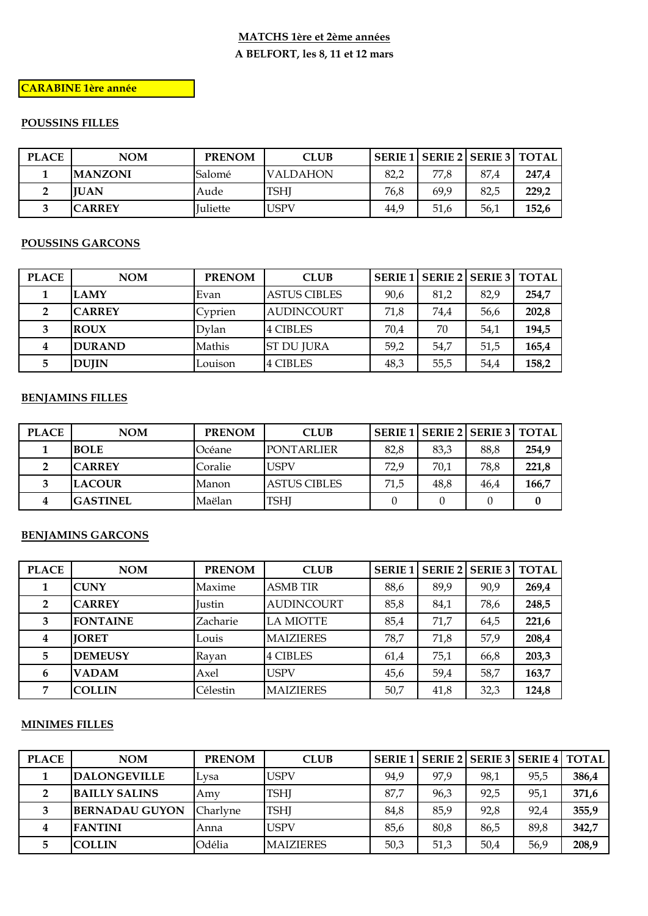## **MATCHS 1ère et 2ème années** A BELFORT, les 8, 11 et 12 mars

## **CARABINE 1ère année**

#### **POUSSINS FILLES**

| <b>PLACE</b> | NOM<br><b>PRENOM</b> |                 | <b>CLUB</b>     |      |      | <b>SERIE 1   SERIE 2   SERIE 3   TOTAL  </b> |       |
|--------------|----------------------|-----------------|-----------------|------|------|----------------------------------------------|-------|
|              | <b>MANZONI</b>       | Salomé          | <b>VALDAHON</b> | 82,2 | 77.8 | 87.4                                         | 247,4 |
|              | <b>IUAN</b>          | Aude            | TSHJ            | 76,8 | 69.9 | 82,5                                         | 229,2 |
|              | <b>CARREY</b>        | <b>Iuliette</b> | USPV            | 44,9 | 51,6 | 56,1                                         | 152,6 |

#### **POUSSINS GARCONS**

| <b>PLACE</b> | NOM           | <b>PRENOM</b> | <b>CLUB</b>         |      |      | SERIE 1 SERIE 2 SERIE 3 TOTAL |       |
|--------------|---------------|---------------|---------------------|------|------|-------------------------------|-------|
|              | <b>LAMY</b>   | Evan          | <b>ASTUS CIBLES</b> | 90,6 | 81,2 | 82,9                          | 254,7 |
|              | <b>CARREY</b> | Cyprien       | <b>AUDINCOURT</b>   | 71,8 | 74,4 | 56.6                          | 202,8 |
|              | <b>ROUX</b>   | Dylan         | 4 CIBLES            | 70,4 | 70   | 54,1                          | 194,5 |
| 4            | <b>DURAND</b> | Mathis        | <b>ST DU JURA</b>   | 59,2 | 54,7 | 51,5                          | 165,4 |
| 5.           | <b>DUJIN</b>  | Louison       | 4 CIBLES            | 48,3 | 55,5 | 54.4                          | 158,2 |

#### **BENJAMINS FILLES**

| <b>PLACE</b> | NOM                      | <b>PRENOM</b> | <b>CLUB</b>         |      |      | SERIE 1 SERIE 2 SERIE 3 TOTAL |       |
|--------------|--------------------------|---------------|---------------------|------|------|-------------------------------|-------|
|              | <b>BOLE</b>              | Océane        | <b>PONTARLIER</b>   |      | 83,3 | 88,8                          | 254,9 |
|              | <b>CARREY</b><br>Coralie |               | <b>USPV</b>         | 72.9 | 70,1 | 78.8                          | 221,8 |
|              | <b>LACOUR</b>            | Manon         | <b>ASTUS CIBLES</b> | 71,5 | 48,8 | 46,4                          | 166,7 |
|              | <b>GASTINEL</b>          | Maëlan        | <b>TSHI</b>         |      |      |                               |       |

#### **BENJAMINS GARCONS**

| <b>PLACE</b>   | <b>NOM</b>      | <b>PRENOM</b> | <b>CLUB</b>       | <b>SERIE</b> <sub>1</sub> |      | SERIE 2   SERIE 3 | <b>TOTAL</b> |
|----------------|-----------------|---------------|-------------------|---------------------------|------|-------------------|--------------|
|                | <b>CUNY</b>     | Maxime        | <b>ASMB TIR</b>   | 88,6                      | 89,9 | 90,9              | 269,4        |
| $\overline{2}$ | <b>CARREY</b>   | <b>Iustin</b> | <b>AUDINCOURT</b> | 85,8                      | 84,1 | 78,6              | 248,5        |
| 3              | <b>FONTAINE</b> | Zacharie      | <b>LA MIOTTE</b>  | 85,4                      | 71,7 | 64,5              | 221,6        |
| 4              | <b>IORET</b>    | Louis         | <b>MAIZIERES</b>  | 78,7                      | 71,8 | 57,9              | 208,4        |
| 5              | <b>DEMEUSY</b>  | Ravan         | 4 CIBLES          | 61,4                      | 75,1 | 66,8              | 203,3        |
| 6              | <b>VADAM</b>    | Axel          | <b>USPV</b>       | 45,6                      | 59,4 | 58,7              | 163,7        |
| $\overline{7}$ | <b>COLLIN</b>   | Célestin      | <b>MAIZIERES</b>  | 50,7                      | 41,8 | 32,3              | 124,8        |

#### **MINIMES FILLES**

| <b>PLACE</b> | <b>NOM</b>            | <b>PRENOM</b> | <b>CLUB</b>      |      |      |      | SERIE 1   SERIE 2   SERIE 3   SERIE 4   TOTAL |       |
|--------------|-----------------------|---------------|------------------|------|------|------|-----------------------------------------------|-------|
|              | <b>DALONGEVILLE</b>   | Lysa          | <b>USPV</b>      | 94,9 | 97,9 | 98,1 | 95,5                                          | 386,4 |
|              | <b>BAILLY SALINS</b>  | Amv           | TSHJ             | 87,7 | 96,3 | 92,5 | 95,1                                          | 371,6 |
|              | <b>BERNADAU GUYON</b> | Charlvne      | TSHI             | 84,8 | 85,9 | 92,8 | 92,4                                          | 355,9 |
| 4            | <b>FANTINI</b>        | Anna          | <b>USPV</b>      | 85,6 | 80,8 | 86,5 | 89,8                                          | 342,7 |
|              | <b>COLLIN</b>         | Odélia        | <b>MAIZIERES</b> | 50,3 | 51,3 | 50,4 | 56,9                                          | 208,9 |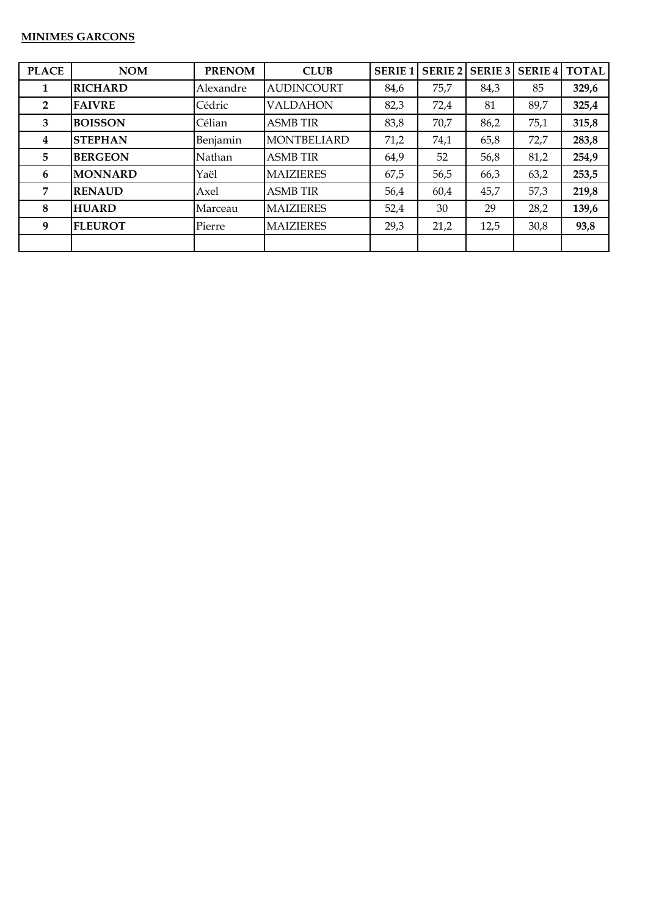#### **MINIMES GARCONS**

| <b>PLACE</b>   | <b>NOM</b>     | <b>PRENOM</b> | <b>CLUB</b>        | <b>SERIE 1</b> |      |      | SERIE 2   SERIE 3   SERIE 4 | <b>TOTAL</b> |
|----------------|----------------|---------------|--------------------|----------------|------|------|-----------------------------|--------------|
| 1              | <b>RICHARD</b> | Alexandre     | <b>AUDINCOURT</b>  | 84,6           | 75,7 | 84,3 | 85                          | 329,6        |
| $\overline{2}$ | <b>FAIVRE</b>  | Cédric        | <b>VALDAHON</b>    | 82,3           | 72,4 | 81   | 89,7                        | 325,4        |
| 3              | <b>BOISSON</b> | Célian        | <b>ASMB TIR</b>    | 83,8           | 70,7 | 86,2 | 75,1                        | 315,8        |
| 4              | <b>STEPHAN</b> | Benjamin      | <b>MONTBELIARD</b> | 71,2           | 74,1 | 65,8 | 72,7                        | 283,8        |
| 5              | <b>BERGEON</b> | Nathan        | <b>ASMB TIR</b>    | 64,9           | 52   | 56,8 | 81,2                        | 254,9        |
| 6              | <b>MONNARD</b> | Yaël          | <b>MAIZIERES</b>   | 67,5           | 56,5 | 66,3 | 63,2                        | 253,5        |
| 7              | <b>RENAUD</b>  | Axel          | <b>ASMB TIR</b>    | 56,4           | 60,4 | 45,7 | 57,3                        | 219,8        |
| 8              | <b>HUARD</b>   | Marceau       | <b>MAIZIERES</b>   | 52,4           | 30   | 29   | 28,2                        | 139,6        |
| 9              | <b>FLEUROT</b> | Pierre        | <b>MAIZIERES</b>   | 29,3           | 21,2 | 12,5 | 30,8                        | 93,8         |
|                |                |               |                    |                |      |      |                             |              |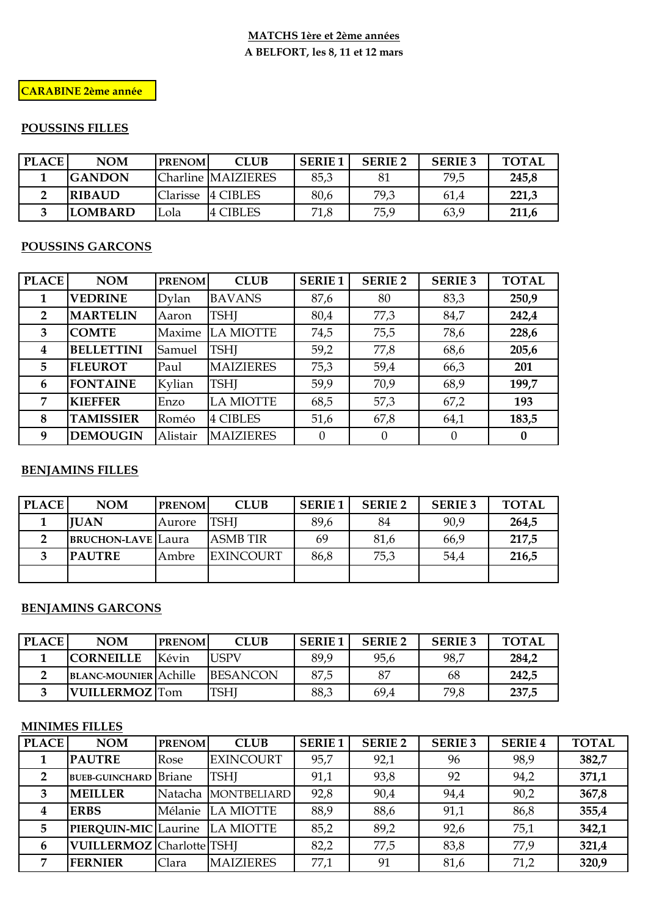## **MATCHS 1ère et 2ème années A BELFORT, les 8, 11 et 12 mars**

## **CARABINE 2ème année**

# **POUSSINS FILLES**

| <b>PLACE</b> | <b>NOM</b>     | <b>PRENOM</b> | <b>CLUB</b>        | <b>SERIE 1</b> | <b>SERIE 2</b> | <b>SERIE 3</b> | TOTAL |
|--------------|----------------|---------------|--------------------|----------------|----------------|----------------|-------|
|              | IGANDON        |               | Charline MAIZIERES | 85,3           | 81             | 79,5           | 245,8 |
|              | <b>IRIBAUD</b> | Clarisse      | 4 CIBLES           | 80,6           | 79,3           | 61.4           | 221,3 |
|              | <b>LOMBARD</b> | .ola          | <b>4 CIBLES</b>    | 71,8           | 75,9           | 63,9           | 211,6 |

## **POUSSINS GARCONS**

| <b>PLACE</b>   | <b>NOM</b>        | <b>PRENOM</b> | <b>CLUB</b>      | <b>SERIE1</b> | <b>SERIE 2</b> | <b>SERIE 3</b> | <b>TOTAL</b> |
|----------------|-------------------|---------------|------------------|---------------|----------------|----------------|--------------|
| 1              | <b>VEDRINE</b>    | Dylan         | <b>BAVANS</b>    | 87,6          | 80             | 83,3           | 250,9        |
| $\overline{2}$ | <b>MARTELIN</b>   | Aaron         | <b>TSHI</b>      | 80,4          | 77,3           | 84,7           | 242,4        |
| 3              | <b>COMTE</b>      | Maxime        | LA MIOTTE        | 74,5          | 75,5           | 78,6           | 228,6        |
| 4              | <b>BELLETTINI</b> | Samuel        | <b>TSHI</b>      | 59,2          | 77,8           | 68,6           | 205,6        |
| 5              | <b>FLEUROT</b>    | Paul          | <b>MAIZIERES</b> | 75,3          | 59,4           | 66,3           | 201          |
| 6              | <b>FONTAINE</b>   | Kylian        | <b>TSHI</b>      | 59,9          | 70,9           | 68,9           | 199,7        |
| 7              | <b>KIEFFER</b>    | Enzo          | <b>LA MIOTTE</b> | 68,5          | 57,3           | 67,2           | 193          |
| 8              | <b>TAMISSIER</b>  | Roméo         | <b>4 CIBLES</b>  | 51,6          | 67,8           | 64,1           | 183,5        |
| 9              | <b>DEMOUGIN</b>   | Alistair      | <b>MAIZIERES</b> | $\Omega$      | $\theta$       | $\theta$       | $\bf{0}$     |

### **BENJAMINS FILLES**

| <b>PLACE</b> | <b>NOM</b>                | <b>PRENOM</b> | <b>CLUB</b>      | <b>SERIE 1</b> | <b>SERIE 2</b> | <b>SERIE 3</b> | <b>TOTAL</b> |
|--------------|---------------------------|---------------|------------------|----------------|----------------|----------------|--------------|
|              | <b>IUAN</b>               | Aurore        | TSHI             | 89,6           | 84             | 90,9           | 264,5        |
|              | <b>BRUCHON-LAVE</b> Laura |               | <b>ASMB TIR</b>  | 69             | 81,6           | 66,9           | 217,5        |
|              | <b>PAUTRE</b>             | Ambre         | <b>EXINCOURT</b> | 86,8           | 75,3           | 54,4           | 216,5        |
|              |                           |               |                  |                |                |                |              |

#### **BENJAMINS GARCONS**

| <b>PLACE</b> | <b>NOM</b>                   | <b>PRENOM</b> | <b>CLUB</b>      | <b>SERIE 1</b> | <b>SERIE 2</b> | <b>SERIE 3</b> | <b>TOTAL</b> |
|--------------|------------------------------|---------------|------------------|----------------|----------------|----------------|--------------|
|              | <b>CORNEILLE</b>             | Kévin         | <b>JSPV</b>      | 89,9           | 95,6           | 98,7           | 284,2        |
|              | <b>BLANC-MOUNIER</b> Achille |               | <b>IBESANCON</b> | 87,5           | 87             | 68             | 242,5        |
|              | <b>VUILLERMOZ</b> Tom        |               | <b>TSHI</b>      | 88,3           | 69,4           | 79,8           | 237,5        |

## **MINIMES FILLES**

| <b>PLACE</b> | <b>NOM</b>                       | <b>PRENOM</b> | <b>CLUB</b>         | <b>SERIE1</b> | <b>SERIE 2</b> | <b>SERIE 3</b> | <b>SERIE 4</b> | <b>TOTAL</b> |
|--------------|----------------------------------|---------------|---------------------|---------------|----------------|----------------|----------------|--------------|
|              | <b>PAUTRE</b>                    | Rose          | <b>EXINCOURT</b>    | 95,7          | 92,1           | 96             | 98,9           | 382,7        |
| 2            | <b>BUEB-GUINCHARD</b> Briane     |               | <b>TSHI</b>         | 91,1          | 93,8           | 92             | 94,2           | 371,1        |
| 3            | <b>MEILLER</b>                   |               | Natacha MONTBELIARD | 92,8          | 90,4           | 94,4           | 90,2           | 367,8        |
|              | <b>ERBS</b>                      |               | Mélanie LA MIOTTE   | 88,9          | 88,6           | 91,1           | 86,8           | 355,4        |
|              | PIERQUIN-MIC Laurine LA MIOTTE   |               |                     | 85,2          | 89,2           | 92,6           | 75,1           | 342,1        |
| 6            | <b>VUILLERMOZ</b> Charlotte TSHI |               |                     | 82,2          | 77,5           | 83,8           | 77,9           | 321,4        |
|              | <b>FERNIER</b>                   | Clara         | <b>MAIZIERES</b>    | 77,1          | 91             | 81,6           | 71,2           | 320,9        |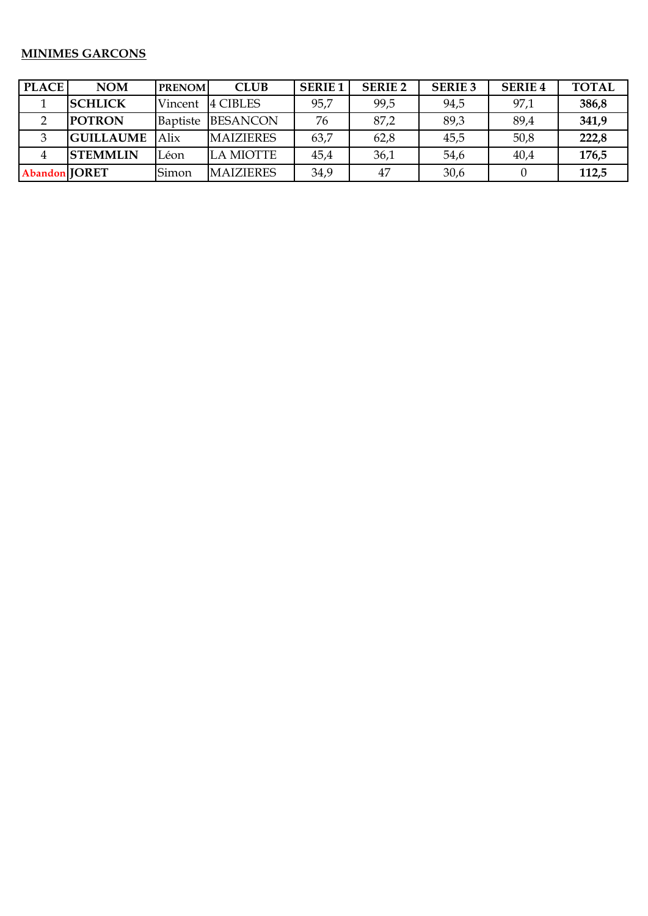# **MINIMES GARCONS**

| <b>PLACE</b>  | <b>NOM</b>       | <b>PRENOM</b>   | <b>CLUB</b>      | <b>SERIE1</b> | <b>SERIE 2</b> | <b>SERIE 3</b> | <b>SERIE 4</b> | <b>TOTAL</b> |
|---------------|------------------|-----------------|------------------|---------------|----------------|----------------|----------------|--------------|
|               | <b>SCHLICK</b>   | Vincent         | 4 CIBLES         | 95,7          | 99,5           | 94,5           | 97,1           | 386,8        |
|               | <b>POTRON</b>    | <b>Baptiste</b> | <b>BESANCON</b>  | 76            | 87,2           | 89,3           | 89,4           | 341,9        |
|               | <b>GUILLAUME</b> | Alix            | <b>MAIZIERES</b> | 63,7          | 62,8           | 45,5           | 50,8           | 222,8        |
|               | <b>STEMMLIN</b>  | Léon            | <b>LA MIOTTE</b> | 45,4          | 36,1           | 54,6           | 40,4           | 176,5        |
| Abandon JORET |                  | Simon           | <b>MAIZIERES</b> | 34,9          | 47             | 30,6           |                | 112,5        |